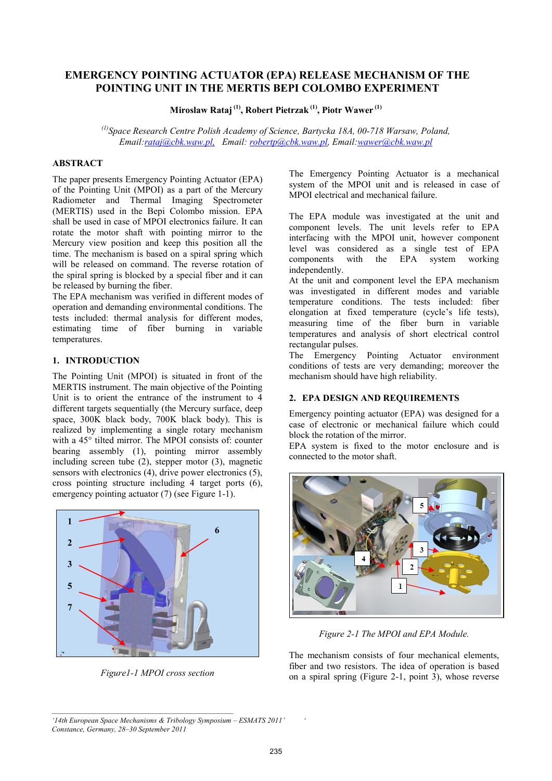# **EMERGENCY POINTING ACTUATOR (EPA) RELEASE MECHANISM OF THE POINTING UNIT IN THE MERTIS BEPI COLOMBO EXPERIMENT**

**Miroslaw Rataj (1), Robert Pietrzak (1), Piotr Wawer (1)**

*(1)Space Research Centre Polish Academy of Science, Bartycka 18A, 00-718 Warsaw, Poland, Email:rataj@cbk.waw.pl, Email: robertp@cbk.waw.pl, Email:wawer@cbk.waw.pl*

## **ABSTRACT**

The paper presents Emergency Pointing Actuator (EPA) of the Pointing Unit (MPOI) as a part of the Mercury Radiometer and Thermal Imaging Spectrometer (MERTIS) used in the Bepi Colombo mission. EPA shall be used in case of MPOI electronics failure. It can rotate the motor shaft with pointing mirror to the Mercury view position and keep this position all the time. The mechanism is based on a spiral spring which will be released on command. The reverse rotation of the spiral spring is blocked by a special fiber and it can be released by burning the fiber.

The EPA mechanism was verified in different modes of operation and demanding environmental conditions. The tests included: thermal analysis for different modes, estimating time of fiber burning in variable temperatures.

# **1. INTRODUCTION**

The Pointing Unit (MPOI) is situated in front of the MERTIS instrument. The main objective of the Pointing Unit is to orient the entrance of the instrument to 4 different targets sequentially (the Mercury surface, deep space, 300K black body, 700K black body). This is realized by implementing a single rotary mechanism with a 45° tilted mirror. The MPOI consists of: counter bearing assembly (1), pointing mirror assembly including screen tube (2), stepper motor (3), magnetic sensors with electronics (4), drive power electronics (5), cross pointing structure including 4 target ports (6), emergency pointing actuator (7) (see Figure 1-1).



*Figure1-1 MPOI cross section*

The Emergency Pointing Actuator is a mechanical system of the MPOI unit and is released in case of MPOI electrical and mechanical failure.

The EPA module was investigated at the unit and component levels. The unit levels refer to EPA interfacing with the MPOI unit, however component level was considered as a single test of EPA components with the EPA system working independently.

At the unit and component level the EPA mechanism was investigated in different modes and variable temperature conditions. The tests included: fiber elongation at fixed temperature (cycle's life tests), measuring time of the fiber burn in variable temperatures and analysis of short electrical control rectangular pulses.

The Emergency Pointing Actuator environment conditions of tests are very demanding; moreover the mechanism should have high reliability.

## **2. EPA DESIGN AND REQUIREMENTS**

Emergency pointing actuator (EPA) was designed for a case of electronic or mechanical failure which could block the rotation of the mirror.

EPA system is fixed to the motor enclosure and is connected to the motor shaft.



*Figure 2-1 The MPOI and EPA Module.* 

The mechanism consists of four mechanical elements, fiber and two resistors. The idea of operation is based on a spiral spring (Figure 2-1, point 3), whose reverse

*'*

*<sup>&#</sup>x27;14th European Space Mechanisms & Tribology Symposium – ESMATS 2011' Constance, Germany, 28–30 September 2011*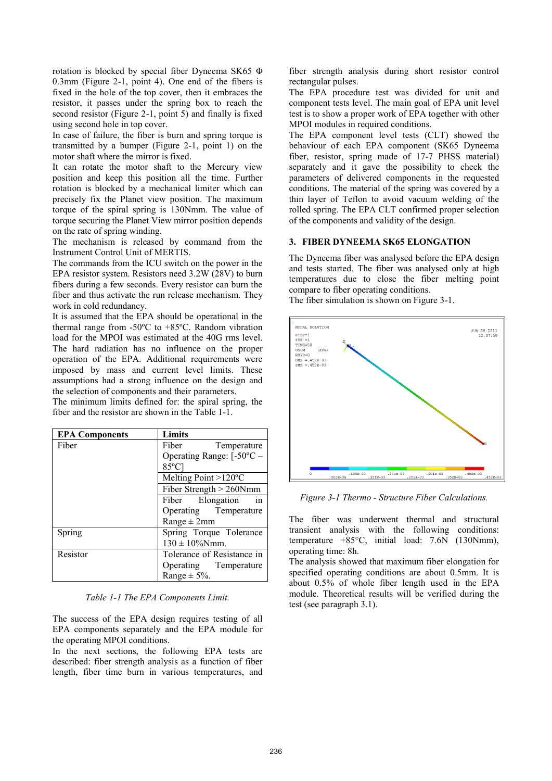rotation is blocked by special fiber Dyneema SK65 Φ 0.3mm (Figure 2-1, point 4). One end of the fibers is fixed in the hole of the top cover, then it embraces the resistor, it passes under the spring box to reach the second resistor (Figure 2-1, point 5) and finally is fixed using second hole in top cover.

In case of failure, the fiber is burn and spring torque is transmitted by a bumper (Figure 2-1, point 1) on the motor shaft where the mirror is fixed.

It can rotate the motor shaft to the Mercury view position and keep this position all the time. Further rotation is blocked by a mechanical limiter which can precisely fix the Planet view position. The maximum torque of the spiral spring is 130Nmm. The value of torque securing the Planet View mirror position depends on the rate of spring winding.

The mechanism is released by command from the Instrument Control Unit of MERTIS.

The commands from the ICU switch on the power in the EPA resistor system. Resistors need 3.2W (28V) to burn fibers during a few seconds. Every resistor can burn the fiber and thus activate the run release mechanism. They work in cold redundancy.

It is assumed that the EPA should be operational in the thermal range from -50ºC to +85ºC. Random vibration load for the MPOI was estimated at the 40G rms level. The hard radiation has no influence on the proper operation of the EPA. Additional requirements were imposed by mass and current level limits. These assumptions had a strong influence on the design and the selection of components and their parameters.

The minimum limits defined for: the spiral spring, the fiber and the resistor are shown in the Table 1-1.

| <b>EPA Components</b> | Limits                                                       |  |  |
|-----------------------|--------------------------------------------------------------|--|--|
| Fiber                 | Fiber<br>Temperature                                         |  |  |
|                       | Operating Range: $[-50^{\circ}C -$                           |  |  |
|                       | $85^{\circ}$ C                                               |  |  |
|                       | Melting Point $>120^{\circ}$ C<br>Fiber Strength $> 260$ Nmm |  |  |
|                       |                                                              |  |  |
|                       | Fiber Elongation<br>in                                       |  |  |
|                       | Operating Temperature<br>Range $\pm$ 2mm                     |  |  |
|                       |                                                              |  |  |
| Spring                | Spring Torque Tolerance                                      |  |  |
|                       | $130 \pm 10\%$ Nmm.                                          |  |  |
| Resistor              | Tolerance of Resistance in                                   |  |  |
|                       | Operating Temperature                                        |  |  |
|                       | Range $\pm$ 5%.                                              |  |  |

#### *Table 1-1 The EPA Components Limit.*

The success of the EPA design requires testing of all EPA components separately and the EPA module for the operating MPOI conditions.

In the next sections, the following EPA tests are described: fiber strength analysis as a function of fiber length, fiber time burn in various temperatures, and fiber strength analysis during short resistor control rectangular pulses.

The EPA procedure test was divided for unit and component tests level. The main goal of EPA unit level test is to show a proper work of EPA together with other MPOI modules in required conditions.

The EPA component level tests (CLT) showed the behaviour of each EPA component (SK65 Dyneema fiber, resistor, spring made of 17-7 PHSS material) separately and it gave the possibility to check the parameters of delivered components in the requested conditions. The material of the spring was covered by a thin layer of Teflon to avoid vacuum welding of the rolled spring. The EPA CLT confirmed proper selection of the components and validity of the design.

#### **3. FIBER DYNEEMA SK65 ELONGATION**

The Dyneema fiber was analysed before the EPA design and tests started. The fiber was analysed only at high temperatures due to close the fiber melting point compare to fiber operating conditions. The fiber simulation is shown on Figure 3-1.



*Figure 3-1 Thermo - Structure Fiber Calculations.* 

The fiber was underwent thermal and structural transient analysis with the following conditions: temperature +85°C, initial load: 7.6N (130Nmm), operating time: 8h.

The analysis showed that maximum fiber elongation for specified operating conditions are about 0.5mm. It is about 0.5% of whole fiber length used in the EPA module. Theoretical results will be verified during the test (see paragraph 3.1).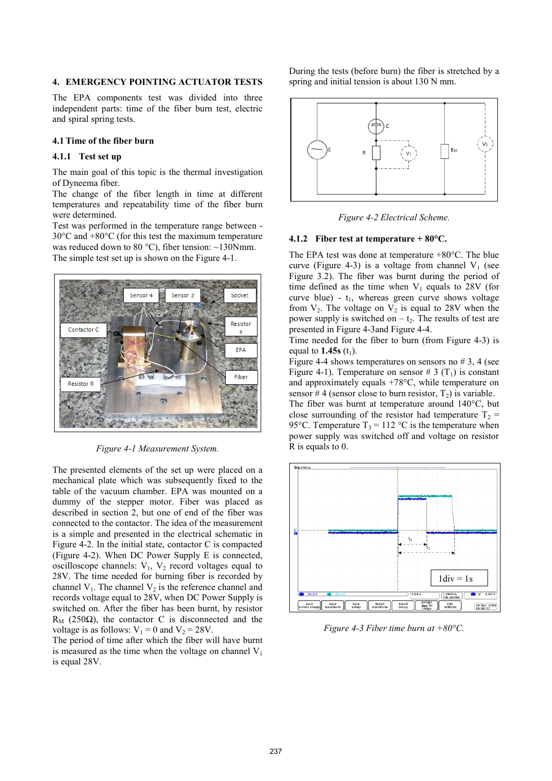#### **4. EMERGENCY POINTING ACTUATOR TESTS**

The EPA components test was divided into three independent parts: time of the fiber burn test, electric and spiral spring tests.

### **4.1 Time of the fiber burn**

## **4.1.1 Test set up**

The main goal of this topic is the thermal investigation of Dyneema fiber.

The change of the fiber length in time at different temperatures and repeatability time of the fiber burn were determined.

Test was performed in the temperature range between - 30°C and +80°C (for this test the maximum temperature was reduced down to 80 °C), fiber tension:  $\sim$ 130Nmm. The simple test set up is shown on the Figure 4-1.



*Figure 4-1 Measurement System.* 

The presented elements of the set up were placed on a mechanical plate which was subsequently fixed to the table of the vacuum chamber. EPA was mounted on a dummy of the stepper motor. Fiber was placed as described in section 2, but one of end of the fiber was connected to the contactor. The idea of the measurement is a simple and presented in the electrical schematic in Figure 4-2. In the initial state, contactor C is compacted (Figure 4-2). When DC Power Supply E is connected, oscilloscope channels:  $V_1$ ,  $V_2$  record voltages equal to 28V. The time needed for burning fiber is recorded by channel  $V_1$ . The channel  $V_2$  is the reference channel and records voltage equal to 28V, when DC Power Supply is switched on. After the fiber has been burnt, by resistor  $R_M$  (250Ω), the contactor C is disconnected and the voltage is as follows:  $V_1 = 0$  and  $V_2 = 28V$ .

The period of time after which the fiber will have burnt is measured as the time when the voltage on channel  $V_1$ is equal 28V.

During the tests (before burn) the fiber is stretched by a spring and initial tension is about 130 N mm.



*Figure 4-2 Electrical Scheme.* 

#### **4.1.2 Fiber test at temperature + 80°C.**

The EPA test was done at temperature +80°C. The blue curve (Figure 4-3) is a voltage from channel  $V_1$  (see Figure 3.2). The fiber was burnt during the period of time defined as the time when  $V_1$  equals to 28V (for curve blue) -  $t_1$ , whereas green curve shows voltage from  $V_2$ . The voltage on  $V_2$  is equal to 28V when the power supply is switched on  $-t_2$ . The results of test are presented in Figure 4-3and Figure 4-4.

Time needed for the fiber to burn (from Figure 4-3) is equal to  $1.45s$  (t<sub>1</sub>).

Figure 4-4 shows temperatures on sensors no  $\#$  3, 4 (see Figure 4-1). Temperature on sensor # 3  $(T_1)$  is constant and approximately equals +78°C, while temperature on sensor #4 (sensor close to burn resistor,  $T_2$ ) is variable.

The fiber was burnt at temperature around 140°C, but close surrounding of the resistor had temperature  $T_2$  = 95°C. Temperature  $T_3 = 112$  °C is the temperature when power supply was switched off and voltage on resistor R is equals to 0.



*Figure 4-3 Fiber time burn at +80°C.*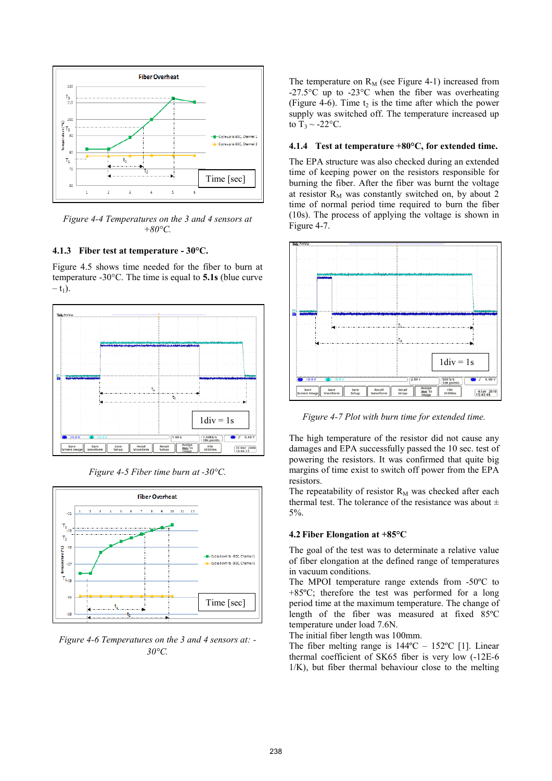

*Figure 4-4 Temperatures on the 3 and 4 sensors at +80°C.* 

## **4.1.3 Fiber test at temperature - 30°C.**

Figure 4.5 shows time needed for the fiber to burn at temperature -30°C. The time is equal to **5.1s** (blue curve  $- t_1$ ).



*Figure 4-5 Fiber time burn at -30°C.* 



*Figure 4-6 Temperatures on the 3 and 4 sensors at: - 30°C.* 

The temperature on  $R_M$  (see Figure 4-1) increased from -27.5°C up to -23°C when the fiber was overheating (Figure 4-6). Time  $t_2$  is the time after which the power supply was switched off. The temperature increased up to  $T_3 \sim -22$ °C.

#### **4.1.4 Test at temperature +80°C, for extended time.**

The EPA structure was also checked during an extended time of keeping power on the resistors responsible for burning the fiber. After the fiber was burnt the voltage at resistor  $R_M$  was constantly switched on, by about 2 time of normal period time required to burn the fiber (10s). The process of applying the voltage is shown in Figure 4-7.



*Figure 4-7 Plot with burn time for extended time.* 

The high temperature of the resistor did not cause any damages and EPA successfully passed the 10 sec. test of powering the resistors. It was confirmed that quite big margins of time exist to switch off power from the EPA resistors.

The repeatability of resistor  $R_M$  was checked after each thermal test. The tolerance of the resistance was about  $\pm$ 5%.

### **4.2 Fiber Elongation at +85°C**

The goal of the test was to determinate a relative value of fiber elongation at the defined range of temperatures in vacuum conditions.

The MPOI temperature range extends from -50ºC to +85ºC; therefore the test was performed for a long period time at the maximum temperature. The change of length of the fiber was measured at fixed 85ºC temperature under load 7.6N.

The initial fiber length was 100mm.

The fiber melting range is  $144^{\circ}\text{C} - 152^{\circ}\text{C}$  [1]. Linear thermal coefficient of SK65 fiber is very low (-12E-6 1/K), but fiber thermal behaviour close to the melting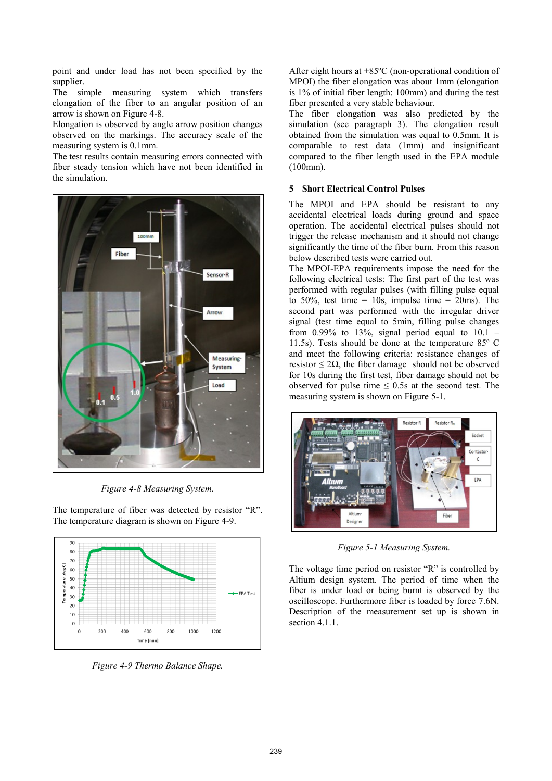point and under load has not been specified by the supplier.

The simple measuring system which transfers elongation of the fiber to an angular position of an arrow is shown on Figure 4-8.

Elongation is observed by angle arrow position changes observed on the markings. The accuracy scale of the measuring system is 0.1mm.

The test results contain measuring errors connected with fiber steady tension which have not been identified in the simulation.



*Figure 4-8 Measuring System.* 

The temperature of fiber was detected by resistor "R". The temperature diagram is shown on Figure 4-9.



*Figure 4-9 Thermo Balance Shape.* 

After eight hours at +85ºC (non-operational condition of MPOI) the fiber elongation was about 1mm (elongation is 1% of initial fiber length: 100mm) and during the test fiber presented a very stable behaviour.

The fiber elongation was also predicted by the simulation (see paragraph 3). The elongation result obtained from the simulation was equal to 0.5mm. It is comparable to test data (1mm) and insignificant compared to the fiber length used in the EPA module (100mm).

## **5 Short Electrical Control Pulses**

The MPOI and EPA should be resistant to any accidental electrical loads during ground and space operation. The accidental electrical pulses should not trigger the release mechanism and it should not change significantly the time of the fiber burn. From this reason below described tests were carried out.

The MPOI-EPA requirements impose the need for the following electrical tests: The first part of the test was performed with regular pulses (with filling pulse equal to 50%, test time =  $10s$ , impulse time =  $20ms$ ). The second part was performed with the irregular driver signal (test time equal to 5min, filling pulse changes from  $0.99\%$  to 13%, signal period equal to  $10.1$  – 11.5s). Tests should be done at the temperature 85º C and meet the following criteria: resistance changes of resistor  $\leq 2\Omega$ , the fiber damage should not be observed for 10s during the first test, fiber damage should not be observed for pulse time  $\leq$  0.5s at the second test. The measuring system is shown on Figure 5-1.



*Figure 5-1 Measuring System.* 

The voltage time period on resistor "R" is controlled by Altium design system. The period of time when the fiber is under load or being burnt is observed by the oscilloscope. Furthermore fiber is loaded by force 7.6N. Description of the measurement set up is shown in section 4.1.1.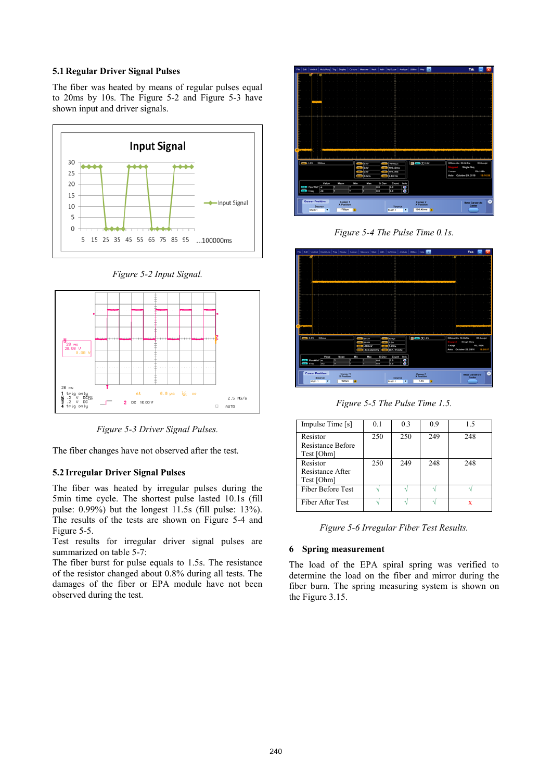### **5.1 Regular Driver Signal Pulses**

The fiber was heated by means of regular pulses equal to 20ms by 10s. The Figure 5-2 and Figure 5-3 have shown input and driver signals.



*Figure 5-2 Input Signal.* 



*Figure 5-3 Driver Signal Pulses.* 

The fiber changes have not observed after the test.

# **5.2 Irregular Driver Signal Pulses**

The fiber was heated by irregular pulses during the 5min time cycle. The shortest pulse lasted 10.1s (fill pulse: 0.99%) but the longest 11.5s (fill pulse: 13%). The results of the tests are shown on Figure 5-4 and Figure 5-5.

Test results for irregular driver signal pulses are summarized on table 5-7:

The fiber burst for pulse equals to 1.5s. The resistance of the resistor changed about 0.8% during all tests. The damages of the fiber or EPA module have not been observed during the test.



*Figure 5-4 The Pulse Time 0.1s.* 



*Figure 5-5 The Pulse Time 1.5.* 

| Impulse Time [s]                            | 0.1 | 0.3 | 0.9 | 15  |
|---------------------------------------------|-----|-----|-----|-----|
| Resistor<br>Resistance Before<br>Test [Ohm] | 250 | 250 | 249 | 248 |
| Resistor<br>Resistance After<br>Test [Ohm]  | 250 | 249 | 248 | 248 |
| Fiber Before Test                           |     |     |     |     |
| Fiber After Test                            |     |     |     | x   |

*Figure 5-6 Irregular Fiber Test Results.* 

## **6 Spring measurement**

The load of the EPA spiral spring was verified to determine the load on the fiber and mirror during the fiber burn. The spring measuring system is shown on the Figure 3.15.